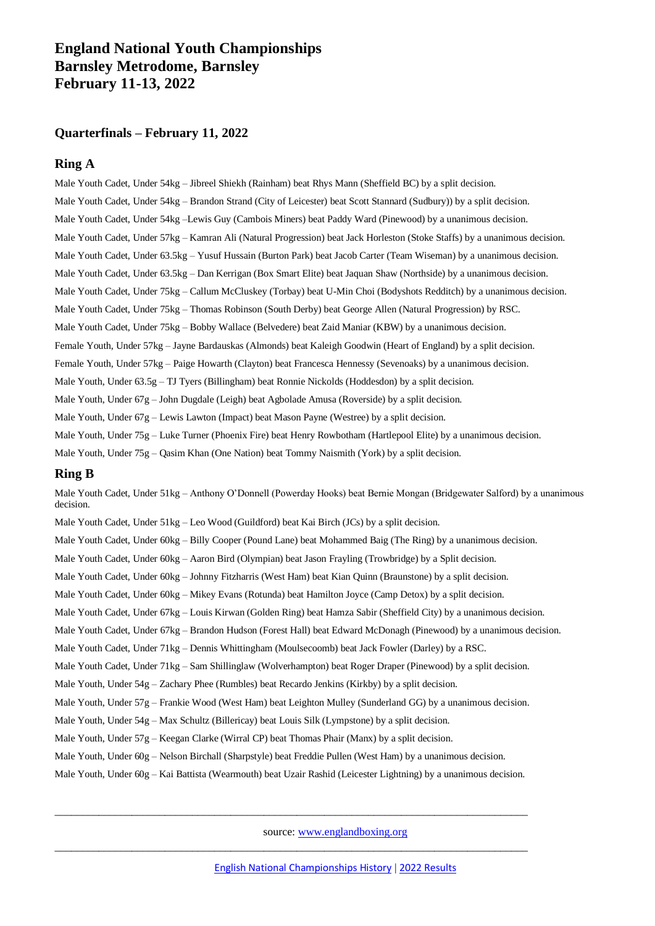# **England National Youth Championships Barnsley Metrodome, Barnsley February 11-13, 2022**

## **Quarterfinals – February 11, 2022**

## **Ring A**

Male Youth Cadet, Under 54kg – Jibreel Shiekh (Rainham) beat Rhys Mann (Sheffield BC) by a split decision. Male Youth Cadet, Under 54kg – Brandon Strand (City of Leicester) beat Scott Stannard (Sudbury)) by a split decision. Male Youth Cadet, Under 54kg –Lewis Guy (Cambois Miners) beat Paddy Ward (Pinewood) by a unanimous decision. Male Youth Cadet, Under 57kg – Kamran Ali (Natural Progression) beat Jack Horleston (Stoke Staffs) by a unanimous decision. Male Youth Cadet, Under 63.5kg – Yusuf Hussain (Burton Park) beat Jacob Carter (Team Wiseman) by a unanimous decision. Male Youth Cadet, Under 63.5kg – Dan Kerrigan (Box Smart Elite) beat Jaquan Shaw (Northside) by a unanimous decision. Male Youth Cadet, Under 75kg – Callum McCluskey (Torbay) beat U-Min Choi (Bodyshots Redditch) by a unanimous decision. Male Youth Cadet, Under 75kg – Thomas Robinson (South Derby) beat George Allen (Natural Progression) by RSC. Male Youth Cadet, Under 75kg – Bobby Wallace (Belvedere) beat Zaid Maniar (KBW) by a unanimous decision. Female Youth, Under 57kg – Jayne Bardauskas (Almonds) beat Kaleigh Goodwin (Heart of England) by a split decision. Female Youth, Under 57kg – Paige Howarth (Clayton) beat Francesca Hennessy (Sevenoaks) by a unanimous decision. Male Youth, Under 63.5g – TJ Tyers (Billingham) beat Ronnie Nickolds (Hoddesdon) by a split decision. Male Youth, Under 67g – John Dugdale (Leigh) beat Agbolade Amusa (Roverside) by a split decision. Male Youth, Under 67g – Lewis Lawton (Impact) beat Mason Payne (Westree) by a split decision. Male Youth, Under 75g – Luke Turner (Phoenix Fire) beat Henry Rowbotham (Hartlepool Elite) by a unanimous decision. Male Youth, Under  $75g - Qasim$  Khan (One Nation) beat Tommy Naismith (York) by a split decision.

### **Ring B**

Male Youth Cadet, Under 51kg – Anthony O'Donnell (Powerday Hooks) beat Bernie Mongan (Bridgewater Salford) by a unanimous decision.

Male Youth Cadet, Under 51kg – Leo Wood (Guildford) beat Kai Birch (JCs) by a split decision.

Male Youth Cadet, Under 60kg – Billy Cooper (Pound Lane) beat Mohammed Baig (The Ring) by a unanimous decision.

Male Youth Cadet, Under 60kg – Aaron Bird (Olympian) beat Jason Frayling (Trowbridge) by a Split decision.

Male Youth Cadet, Under 60kg – Johnny Fitzharris (West Ham) beat Kian Quinn (Braunstone) by a split decision.

Male Youth Cadet, Under 60kg – Mikey Evans (Rotunda) beat Hamilton Joyce (Camp Detox) by a split decision.

Male Youth Cadet, Under 67kg – Louis Kirwan (Golden Ring) beat Hamza Sabir (Sheffield City) by a unanimous decision.

Male Youth Cadet, Under 67kg – Brandon Hudson (Forest Hall) beat Edward McDonagh (Pinewood) by a unanimous decision.

Male Youth Cadet, Under 71kg – Dennis Whittingham (Moulsecoomb) beat Jack Fowler (Darley) by a RSC.

Male Youth Cadet, Under 71kg – Sam Shillinglaw (Wolverhampton) beat Roger Draper (Pinewood) by a split decision.

Male Youth, Under  $54g - Zachary$  Phee (Rumbles) beat Recardo Jenkins (Kirkby) by a split decision.

Male Youth, Under 57g – Frankie Wood (West Ham) beat Leighton Mulley (Sunderland GG) by a unanimous decision.

Male Youth, Under 54g – Max Schultz (Billericay) beat Louis Silk (Lympstone) by a split decision.

Male Youth, Under  $57g - Keegan$  Clarke (Wirral CP) beat Thomas Phair (Manx) by a split decision.

Male Youth, Under 60g – Nelson Birchall (Sharpstyle) beat Freddie Pullen (West Ham) by a unanimous decision.

Male Youth, Under 60g – Kai Battista (Wearmouth) beat Uzair Rashid (Leicester Lightning) by a unanimous decision.

\_\_\_\_\_\_\_\_\_\_\_\_\_\_\_\_\_\_\_\_\_\_\_\_\_\_\_\_\_\_\_\_\_\_\_\_\_\_\_\_\_\_\_\_\_\_\_\_\_\_\_\_\_\_\_\_\_\_\_\_\_\_\_\_\_\_\_\_\_\_\_\_\_\_\_\_\_\_\_\_\_\_\_\_\_\_

\_\_\_\_\_\_\_\_\_\_\_\_\_\_\_\_\_\_\_\_\_\_\_\_\_\_\_\_\_\_\_\_\_\_\_\_\_\_\_\_\_\_\_\_\_\_\_\_\_\_\_\_\_\_\_\_\_\_\_\_\_\_\_\_\_\_\_\_\_\_\_\_\_\_\_\_\_\_\_\_\_\_\_\_\_\_

source: [www.englandboxing.org](http://www.englandboxing.org/)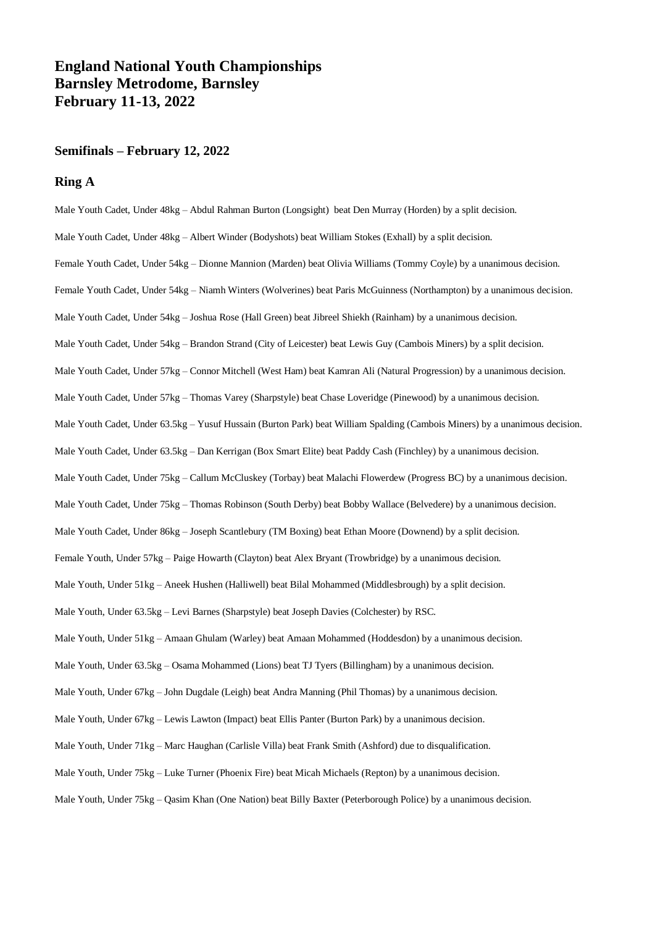# **England National Youth Championships Barnsley Metrodome, Barnsley February 11-13, 2022**

### **Semifinals – February 12, 2022**

#### **Ring A**

Male Youth Cadet, Under 48kg – Abdul Rahman Burton (Longsight) beat Den Murray (Horden) by a split decision. Male Youth Cadet, Under 48kg – Albert Winder (Bodyshots) beat William Stokes (Exhall) by a split decision. Female Youth Cadet, Under 54kg – Dionne Mannion (Marden) beat Olivia Williams (Tommy Coyle) by a unanimous decision. Female Youth Cadet, Under 54kg – Niamh Winters (Wolverines) beat Paris McGuinness (Northampton) by a unanimous decision. Male Youth Cadet, Under 54kg – Joshua Rose (Hall Green) beat Jibreel Shiekh (Rainham) by a unanimous decision. Male Youth Cadet, Under 54kg – Brandon Strand (City of Leicester) beat Lewis Guy (Cambois Miners) by a split decision. Male Youth Cadet, Under 57kg – Connor Mitchell (West Ham) beat Kamran Ali (Natural Progression) by a unanimous decision. Male Youth Cadet, Under 57kg – Thomas Varey (Sharpstyle) beat Chase Loveridge (Pinewood) by a unanimous decision. Male Youth Cadet, Under 63.5kg – Yusuf Hussain (Burton Park) beat William Spalding (Cambois Miners) by a unanimous decision. Male Youth Cadet, Under 63.5kg – Dan Kerrigan (Box Smart Elite) beat Paddy Cash (Finchley) by a unanimous decision. Male Youth Cadet, Under 75kg – Callum McCluskey (Torbay) beat Malachi Flowerdew (Progress BC) by a unanimous decision. Male Youth Cadet, Under 75kg – Thomas Robinson (South Derby) beat Bobby Wallace (Belvedere) by a unanimous decision. Male Youth Cadet, Under 86kg – Joseph Scantlebury (TM Boxing) beat Ethan Moore (Downend) by a split decision. Female Youth, Under 57kg – Paige Howarth (Clayton) beat Alex Bryant (Trowbridge) by a unanimous decision. Male Youth, Under 51kg – Aneek Hushen (Halliwell) beat Bilal Mohammed (Middlesbrough) by a split decision. Male Youth, Under 63.5kg – Levi Barnes (Sharpstyle) beat Joseph Davies (Colchester) by RSC. Male Youth, Under 51kg – Amaan Ghulam (Warley) beat Amaan Mohammed (Hoddesdon) by a unanimous decision. Male Youth, Under 63.5kg – Osama Mohammed (Lions) beat TJ Tyers (Billingham) by a unanimous decision. Male Youth, Under 67kg – John Dugdale (Leigh) beat Andra Manning (Phil Thomas) by a unanimous decision. Male Youth, Under 67kg – Lewis Lawton (Impact) beat Ellis Panter (Burton Park) by a unanimous decision. Male Youth, Under 71kg – Marc Haughan (Carlisle Villa) beat Frank Smith (Ashford) due to disqualification. Male Youth, Under 75kg – Luke Turner (Phoenix Fire) beat Micah Michaels (Repton) by a unanimous decision. Male Youth, Under 75kg – Qasim Khan (One Nation) beat Billy Baxter (Peterborough Police) by a unanimous decision.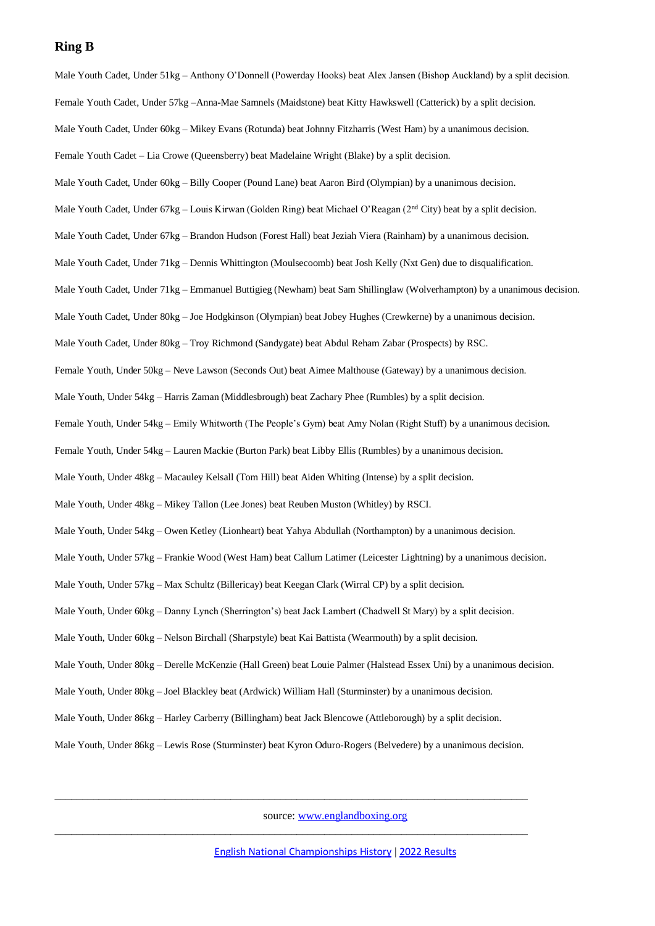#### **Ring B**

Male Youth Cadet, Under 51kg – Anthony O'Donnell (Powerday Hooks) beat Alex Jansen (Bishop Auckland) by a split decision. Female Youth Cadet, Under 57kg –Anna-Mae Samnels (Maidstone) beat Kitty Hawkswell (Catterick) by a split decision. Male Youth Cadet, Under 60kg – Mikey Evans (Rotunda) beat Johnny Fitzharris (West Ham) by a unanimous decision. Female Youth Cadet – Lia Crowe (Queensberry) beat Madelaine Wright (Blake) by a split decision. Male Youth Cadet, Under 60kg – Billy Cooper (Pound Lane) beat Aaron Bird (Olympian) by a unanimous decision. Male Youth Cadet, Under 67kg – Louis Kirwan (Golden Ring) beat Michael O'Reagan (2<sup>nd</sup> City) beat by a split decision. Male Youth Cadet, Under 67kg – Brandon Hudson (Forest Hall) beat Jeziah Viera (Rainham) by a unanimous decision. Male Youth Cadet, Under 71kg – Dennis Whittington (Moulsecoomb) beat Josh Kelly (Nxt Gen) due to disqualification. Male Youth Cadet, Under 71kg – Emmanuel Buttigieg (Newham) beat Sam Shillinglaw (Wolverhampton) by a unanimous decision. Male Youth Cadet, Under 80kg – Joe Hodgkinson (Olympian) beat Jobey Hughes (Crewkerne) by a unanimous decision. Male Youth Cadet, Under 80kg – Troy Richmond (Sandygate) beat Abdul Reham Zabar (Prospects) by RSC. Female Youth, Under 50kg – Neve Lawson (Seconds Out) beat Aimee Malthouse (Gateway) by a unanimous decision. Male Youth, Under 54kg – Harris Zaman (Middlesbrough) beat Zachary Phee (Rumbles) by a split decision. Female Youth, Under 54kg – Emily Whitworth (The People's Gym) beat Amy Nolan (Right Stuff) by a unanimous decision. Female Youth, Under 54kg – Lauren Mackie (Burton Park) beat Libby Ellis (Rumbles) by a unanimous decision. Male Youth, Under 48kg – Macauley Kelsall (Tom Hill) beat Aiden Whiting (Intense) by a split decision. Male Youth, Under 48kg – Mikey Tallon (Lee Jones) beat Reuben Muston (Whitley) by RSCI. Male Youth, Under 54kg – Owen Ketley (Lionheart) beat Yahya Abdullah (Northampton) by a unanimous decision. Male Youth, Under 57kg – Frankie Wood (West Ham) beat Callum Latimer (Leicester Lightning) by a unanimous decision. Male Youth, Under 57kg – Max Schultz (Billericay) beat Keegan Clark (Wirral CP) by a split decision. Male Youth, Under 60kg – Danny Lynch (Sherrington's) beat Jack Lambert (Chadwell St Mary) by a split decision. Male Youth, Under 60kg – Nelson Birchall (Sharpstyle) beat Kai Battista (Wearmouth) by a split decision. Male Youth, Under 80kg – Derelle McKenzie (Hall Green) beat Louie Palmer (Halstead Essex Uni) by a unanimous decision. Male Youth, Under 80kg – Joel Blackley beat (Ardwick) William Hall (Sturminster) by a unanimous decision. Male Youth, Under 86kg – Harley Carberry (Billingham) beat Jack Blencowe (Attleborough) by a split decision. Male Youth, Under 86kg – Lewis Rose (Sturminster) beat Kyron Oduro-Rogers (Belvedere) by a unanimous decision.

source: [www.englandboxing.org](http://www.englandboxing.org/)

\_\_\_\_\_\_\_\_\_\_\_\_\_\_\_\_\_\_\_\_\_\_\_\_\_\_\_\_\_\_\_\_\_\_\_\_\_\_\_\_\_\_\_\_\_\_\_\_\_\_\_\_\_\_\_\_\_\_\_\_\_\_\_\_\_\_\_\_\_\_\_\_\_\_\_\_\_\_\_\_\_\_\_\_\_\_

\_\_\_\_\_\_\_\_\_\_\_\_\_\_\_\_\_\_\_\_\_\_\_\_\_\_\_\_\_\_\_\_\_\_\_\_\_\_\_\_\_\_\_\_\_\_\_\_\_\_\_\_\_\_\_\_\_\_\_\_\_\_\_\_\_\_\_\_\_\_\_\_\_\_\_\_\_\_\_\_\_\_\_\_\_\_